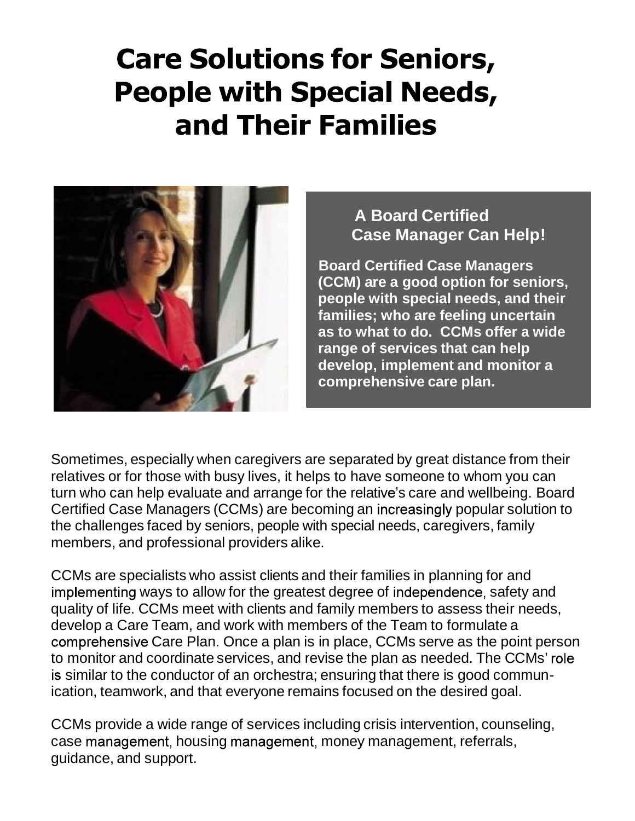# **Care Solutions for Seniors, People with Special Needs,** and Their Families



# **A Board Certified Case Manager Can Help!**

**Board Certified Case Managers (CCM)** are a good option for seniors, **people with special needs, and their families; who are feeling uncertain as to what to do. CCMs offer a wide range of services that can help develop, implement and monitor a comprehensive care plan.**

Sometimes, especially when caregivers are separated by great distance from their relatives or for those with busy lives, it helps to have someone to whom you can turn who can help evaluate and arrange for the relative's care and wellbeing. Board Certified Case Managers (CCMs) are becoming an increasingly popular solution to the challenges faced by seniors, people with special needs, caregivers, family members, and professional providers alike.

CCMs are specialists who assist clients and their families in planning for and implementing ways to allow for the greatest degree of independence, safety and quality of life. CCMs meet with clients and family members to assess their needs, develop a Care Team, and work with members of the Team to formulate a comprehensive Care Plan. Once a plan is in place, CCMs serve as the point person to monitor and coordinate services, and revise the plan as needed. The CCMs' is similar to the conductor of an orchestra; ensuring that there is good communication, teamwork, and that everyone remains focused on the desired goal.

CCMs provide a wide range of services including crisis intervention, counseling, case management, housing management, money management, referrals, guidance, and support.